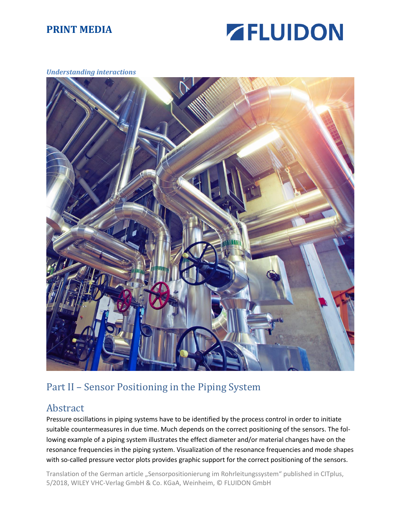

#### *Understanding interactions*



## Part II – Sensor Positioning in the Piping System

#### Abstract

Pressure oscillations in piping systems have to be identified by the process control in order to initiate suitable countermeasures in due time. Much depends on the correct positioning of the sensors. The following example of a piping system illustrates the effect diameter and/or material changes have on the resonance frequencies in the piping system. Visualization of the resonance frequencies and mode shapes with so-called pressure vector plots provides graphic support for the correct positioning of the sensors.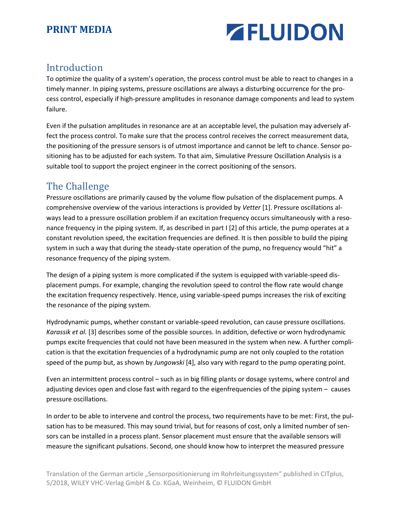

#### Introduction

To optimize the quality of a system's operation, the process control must be able to react to changes in a timely manner. In piping systems, pressure oscillations are always a disturbing occurrence for th[e pro](https://www.linguee.de/englisch-deutsch/uebersetzung/process+management.html)[cess control,](https://www.linguee.de/englisch-deutsch/uebersetzung/process+management.html) especially if high-pressure amplitudes in resonance damage components and lead to system failure.

Even if the pulsation amplitudes in resonance are at an acceptable level, the pulsation may adversely affect the process control. To make sure that the process control receives the correct measurement data, the positioning of the pressure sensors is of utmost importance and cannot be left to chance. Sensor positioning has to be adjusted for each system. To that aim, Simulative Pressure Oscillation Analysis is a suitable tool to support the project engineer in the correct positioning of the sensors.

## The Challenge

Pressure oscillations are primarily caused by the volume flow pulsation of the displacement pumps. A comprehensive overview of the various interactions is provided by *Vetter* [1]. Pressure oscillations always lead to a pressure oscillation problem if an excitation frequency occurs simultaneously with a resonance frequency in the piping system. If, as described in part I [2] of this article, the pump operates at a constant revolution speed, the excitation frequencies are defined. It is then possible to build the piping system in such a way that during the steady-state operation of the pump, no frequency would "hit" a resonance frequency of the piping system.

The design of a piping system is more complicated if the system is equipped with variable-speed displacement pumps. For example, changing the revolution speed to control the flow rate would change the excitation frequency respectively. Hence, using variable-speed pumps increases the risk of exciting the resonance of the piping system.

Hydrodynamic pumps, whether constant or variable-speed revolution, can cause pressure oscillations. *Karassik et al.* [3] describes some of the possible sources. In addition, defective or worn hydrodynamic pumps excite frequencies that could not have been measured in the system when new. A further complication is that the excitation frequencies of a hydrodynamic pump are not only coupled to the rotation speed of the pump but, as shown by *Jungowski* [4], also vary with regard to the pump operating point.

Even an intermittent process control – such as in big filling plants or dosage systems, where control and adjusting devices open and close fast with regard to the eigenfrequencies of the piping system – causes pressure oscillations.

In order to be able to intervene and control the process, two requirements have to be met: First, the pulsation has to be measured. This may sound trivial, but for reasons of cost, only a limited number of sensors can be installed in a process plant. Sensor placement must ensure that the available sensors will measure the significant pulsations. Second, one should know how to interpret the measured pressure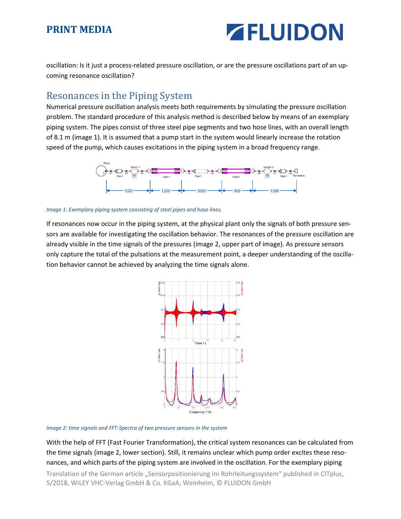# **ZELUIDON**

oscillation: Is it just a process-related pressure oscillation, or are the pressure oscillations part of an upcoming resonance oscillation?

#### Resonances in the Piping System

Numerical pressure oscillation analysis meets both requirements by simulating the pressure oscillation problem. The standard procedure of this analysis method is described below by means of an exemplary piping system. The pipes consist of three steel pipe segments and two hose lines, with an overall length of 8.1 m (image 1). It is assumed that a pump start in the system would linearly increase the rotation speed of the pump, which causes excitations in the piping system in a broad frequency range.



*Image 1: Exemplary piping system consisting of steel pipes and hose lines.* 

If resonances now occur in the piping system, at the physical plant only the signals of both pressure sensors are available for investigating the oscillation behavior. The resonances of the pressure oscillation are already visible in the time signals of the pressures (image 2, upper part of image). As pressure sensors only capture the total of the pulsations at the measurement point, a deeper understanding of the oscillation behavior cannot be achieved by analyzing the time signals alone.



*Image 2: time signals and FFT-Spectra of two pressure sensors in the system* 

With the help of FFT (Fast Fourier Transformation), the critical system resonances can be calculated from the time signals (image 2, lower section). Still, it remains unclear which pump order excites these resonances, and which parts of the piping system are involved in the oscillation. For the exemplary piping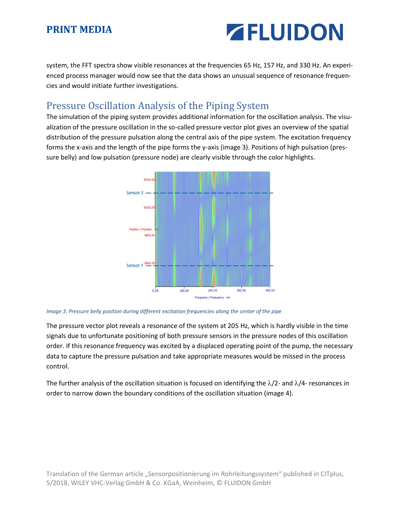# **ZELUIDON**

system, the FFT spectra show visible resonances at the frequencies 65 Hz, 157 Hz, and 330 Hz. An experienced process manager would now see that the data shows an unusual sequence of resonance frequencies and would initiate further investigations.

## Pressure Oscillation Analysis of the Piping System

The simulation of the piping system provides additional information for the oscillation analysis. The visualization of the pressure oscillation in the so-called pressure vector plot gives an overview of the spatial distribution of the pressure pulsation along the central axis of the pipe system. The excitation frequency forms the x-axis and the length of the pipe forms the y-axis (image 3). Positions of high pulsation (pressure belly) and low pulsation (pressure node) are clearly visible through the color highlights.



#### *Image 3: Pressure belly position during different excitation frequencies along the center of the pipe*

The pressure vector plot reveals a resonance of the system at 205 Hz, which is hardly visible in the time signals due to unfortunate positioning of both pressure sensors in the pressure nodes of this oscillation order. If this resonance frequency was excited by a displaced operating point of the pump, the necessary data to capture the pressure pulsation and take appropriate measures would be missed in the process control.

The further analysis of the oscillation situation is focused on identifying the  $\lambda/2$ - and  $\lambda/4$ - resonances in order to narrow down the boundary conditions of the oscillation situation (image 4).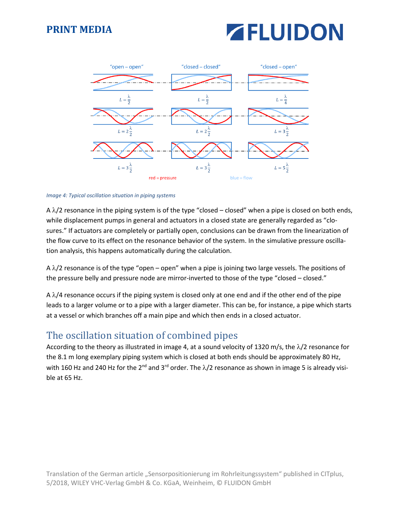# **ZELUIDON**



#### *Image 4: Typical oscillation situation in piping systems*

A  $\lambda$ /2 resonance in the piping system is of the type "closed – closed" when a pipe is closed on both ends, while displacement pumps in general and actuators in a closed state are generally regarded as "closures." If actuators are completely or partially open, conclusions can be drawn from the linearization of the flow curve to its effect on the resonance behavior of the system. In the simulative pressure oscillation analysis, this happens automatically during the calculation.

A  $\lambda$ /2 resonance is of the type "open – open" when a pipe is joining two large vessels. The positions of the pressure belly and pressure node are mirror-inverted to those of the type "closed – closed."

A  $\lambda$ /4 resonance occurs if the piping system is closed only at one end and if the other end of the pipe leads to a larger volume or to a pipe with a larger diameter. This can be, for instance, a pipe which starts at a vessel or which branches off a main pipe and which then ends in a closed actuator.

## The oscillation situation of combined pipes

According to the theory as illustrated in image 4, at a sound velocity of 1320 m/s, the  $\lambda/2$  resonance for the 8.1 m long exemplary piping system which is closed at both ends should be approximately 80 Hz, with 160 Hz and 240 Hz for the 2<sup>nd</sup> and 3<sup>rd</sup> order. The  $\lambda/2$  resonance as shown in image 5 is already visible at 65 Hz.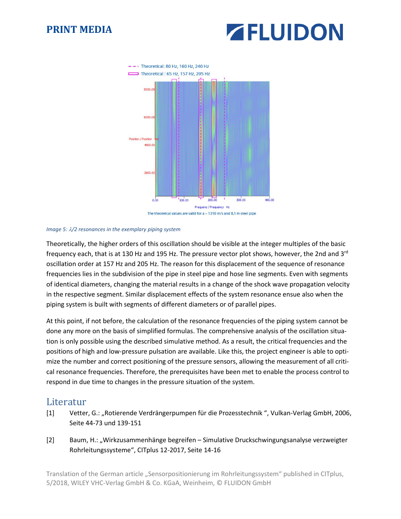



#### *Image 5: /2 resonances in the exemplary piping system*

Theoretically, the higher orders of this oscillation should be visible at the integer multiples of the basic frequency each, that is at 130 Hz and 195 Hz. The pressure vector plot shows, however, the 2nd and 3rd oscillation order at 157 Hz and 205 Hz. The reason for this displacement of the sequence of resonance frequencies lies in the subdivision of the pipe in steel pipe and hose line segments. Even with segments of identical diameters, changing the material results in a change of the shock wave propagation velocity in the respective segment. Similar displacement effects of the system resonance ensue also when the piping system is built with segments of different diameters or of parallel pipes.

At this point, if not before, the calculation of the resonance frequencies of the piping system cannot be done any more on the basis of simplified formulas. The comprehensive analysis of the oscillation situation is only possible using the described simulative method. As a result, the critical frequencies and the positions of high and low-pressure pulsation are available. Like this, the project engineer is able to optimize the number and correct positioning of the pressure sensors, allowing the measurement of all critical resonance frequencies. Therefore, the prerequisites have been met to enable the process control to respond in due time to changes in the pressure situation of the system.

#### Literatur

- [1] Vetter, G.: "Rotierende Verdrängerpumpen für die Prozesstechnik ", Vulkan-Verlag GmbH, 2006, Seite 44-73 und 139-151
- [2] Baum, H.: "Wirkzusammenhänge begreifen Simulative Druckschwingungsanalyse verzweigter Rohrleitungssysteme", CITplus 12-2017, Seite 14-16